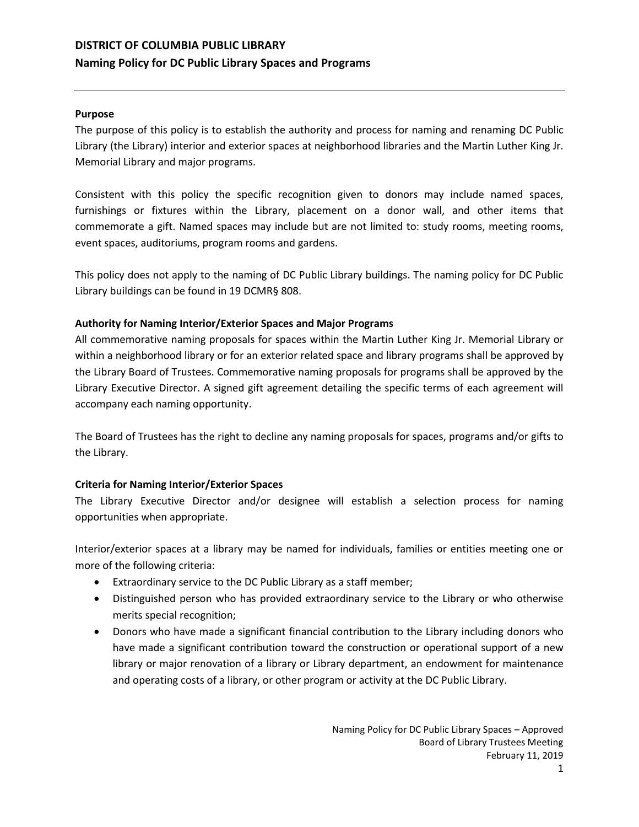# **DISTRICT OF COLUMBIA PUBLIC LIBRARY Naming Policy for DC Public Library Spaces and Programs**

### **Purpose**

The purpose of this policy is to establish the authority and process for naming and renaming DC Public Library (the Library) interior and exterior spaces at neighborhood libraries and the Martin Luther King Jr. Memorial Library and major programs.

Consistent with this policy the specific recognition given to donors may include named spaces, furnishings or fixtures within the Library, placement on a donor wall, and other items that commemorate a gift. Named spaces may include but are not limited to: study rooms, meeting rooms, event spaces, auditoriums, program rooms and gardens.

This policy does not apply to the naming of DC Public Library buildings. The naming policy for DC Public Library buildings can be found in 19 DCMR§ 808.

## **Authority for Naming Interior/Exterior Spaces and Major Programs**

All commemorative naming proposals for spaces within the Martin Luther King Jr. Memorial Library or within a neighborhood library or for an exterior related space and library programs shall be approved by the Library Board of Trustees. Commemorative naming proposals for programs shall be approved by the Library Executive Director. A signed gift agreement detailing the specific terms of each agreement will accompany each naming opportunity.

The Board of Trustees has the right to decline any naming proposals for spaces, programs and/or gifts to the Library.

# **Criteria for Naming Interior/Exterior Spaces**

The Library Executive Director and/or designee will establish a selection process for naming opportunities when appropriate.

Interior/exterior spaces at a library may be named for individuals, families or entities meeting one or more of the following criteria:

- Extraordinary service to the DC Public Library as a staff member;
- Distinguished person who has provided extraordinary service to the Library or who otherwise merits special recognition;
- Donors who have made a significant financial contribution to the Library including donors who have made a significant contribution toward the construction or operational support of a new library or major renovation of a library or Library department, an endowment for maintenance and operating costs of a library, or other program or activity at the DC Public Library.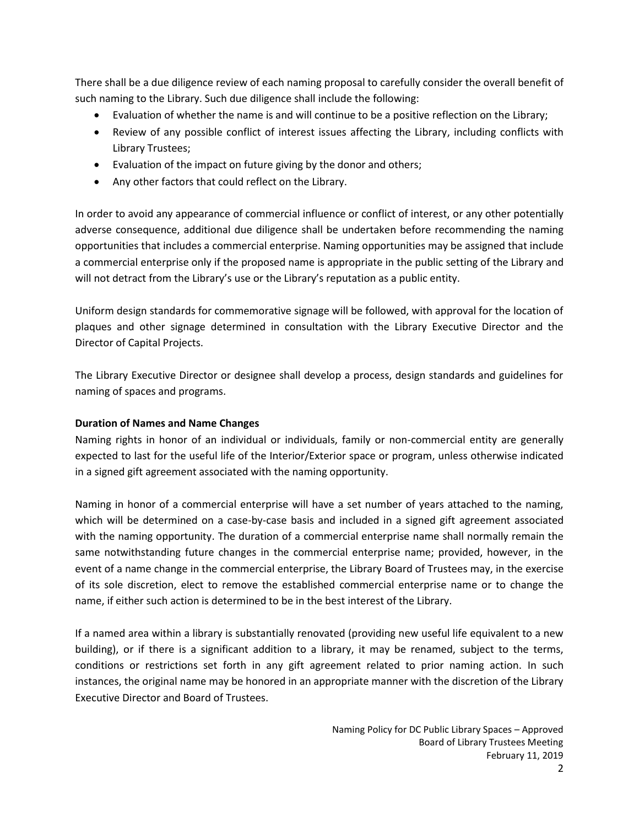There shall be a due diligence review of each naming proposal to carefully consider the overall benefit of such naming to the Library. Such due diligence shall include the following:

- Evaluation of whether the name is and will continue to be a positive reflection on the Library;
- Review of any possible conflict of interest issues affecting the Library, including conflicts with Library Trustees;
- Evaluation of the impact on future giving by the donor and others;
- Any other factors that could reflect on the Library.

In order to avoid any appearance of commercial influence or conflict of interest, or any other potentially adverse consequence, additional due diligence shall be undertaken before recommending the naming opportunities that includes a commercial enterprise. Naming opportunities may be assigned that include a commercial enterprise only if the proposed name is appropriate in the public setting of the Library and will not detract from the Library's use or the Library's reputation as a public entity.

Uniform design standards for commemorative signage will be followed, with approval for the location of plaques and other signage determined in consultation with the Library Executive Director and the Director of Capital Projects.

The Library Executive Director or designee shall develop a process, design standards and guidelines for naming of spaces and programs.

# **Duration of Names and Name Changes**

Naming rights in honor of an individual or individuals, family or non-commercial entity are generally expected to last for the useful life of the Interior/Exterior space or program, unless otherwise indicated in a signed gift agreement associated with the naming opportunity.

Naming in honor of a commercial enterprise will have a set number of years attached to the naming, which will be determined on a case-by-case basis and included in a signed gift agreement associated with the naming opportunity. The duration of a commercial enterprise name shall normally remain the same notwithstanding future changes in the commercial enterprise name; provided, however, in the event of a name change in the commercial enterprise, the Library Board of Trustees may, in the exercise of its sole discretion, elect to remove the established commercial enterprise name or to change the name, if either such action is determined to be in the best interest of the Library.

If a named area within a library is substantially renovated (providing new useful life equivalent to a new building), or if there is a significant addition to a library, it may be renamed, subject to the terms, conditions or restrictions set forth in any gift agreement related to prior naming action. In such instances, the original name may be honored in an appropriate manner with the discretion of the Library Executive Director and Board of Trustees.